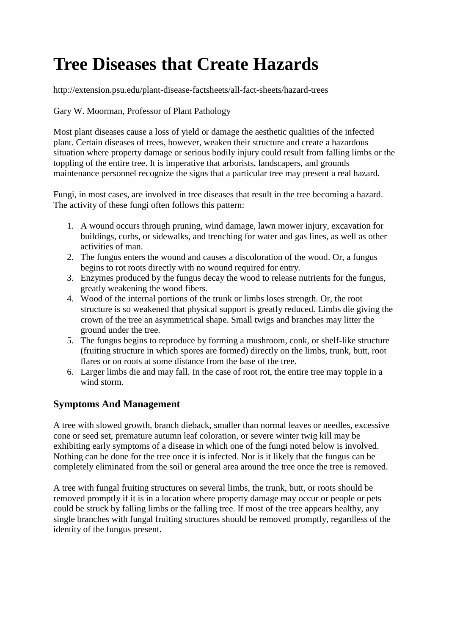# **Tree Diseases that Create Hazards**

http://extension.psu.edu/plant-disease-factsheets/all-fact-sheets/hazard-trees

Gary W. Moorman, Professor of Plant Pathology

Most plant diseases cause a loss of yield or damage the aesthetic qualities of the infected plant. Certain diseases of trees, however, weaken their structure and create a hazardous situation where property damage or serious bodily injury could result from falling limbs or the toppling of the entire tree. It is imperative that arborists, landscapers, and grounds maintenance personnel recognize the signs that a particular tree may present a real hazard.

Fungi, in most cases, are involved in tree diseases that result in the tree becoming a hazard. The activity of these fungi often follows this pattern:

- 1. A wound occurs through pruning, wind damage, lawn mower injury, excavation for buildings, curbs, or sidewalks, and trenching for water and gas lines, as well as other activities of man.
- 2. The fungus enters the wound and causes a discoloration of the wood. Or, a fungus begins to rot roots directly with no wound required for entry.
- 3. Enzymes produced by the fungus decay the wood to release nutrients for the fungus, greatly weakening the wood fibers.
- 4. Wood of the internal portions of the trunk or limbs loses strength. Or, the root structure is so weakened that physical support is greatly reduced. Limbs die giving the crown of the tree an asymmetrical shape. Small twigs and branches may litter the ground under the tree.
- 5. The fungus begins to reproduce by forming a mushroom, conk, or shelf-like structure (fruiting structure in which spores are formed) directly on the limbs, trunk, butt, root flares or on roots at some distance from the base of the tree.
- 6. Larger limbs die and may fall. In the case of root rot, the entire tree may topple in a wind storm.

## **Symptoms And Management**

A tree with slowed growth, branch dieback, smaller than normal leaves or needles, excessive cone or seed set, premature autumn leaf coloration, or severe winter twig kill may be exhibiting early symptoms of a disease in which one of the fungi noted below is involved. Nothing can be done for the tree once it is infected. Nor is it likely that the fungus can be completely eliminated from the soil or general area around the tree once the tree is removed.

A tree with fungal fruiting structures on several limbs, the trunk, butt, or roots should be removed promptly if it is in a location where property damage may occur or people or pets could be struck by falling limbs or the falling tree. If most of the tree appears healthy, any single branches with fungal fruiting structures should be removed promptly, regardless of the identity of the fungus present.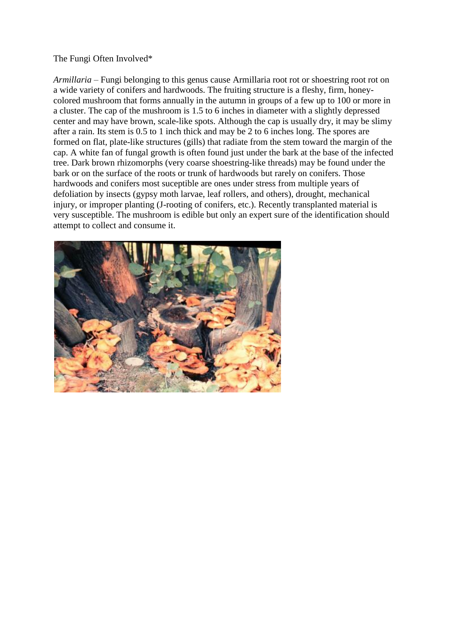#### The Fungi Often Involved\*

*Armillaria* – Fungi belonging to this genus cause Armillaria root rot or shoestring root rot on a wide variety of conifers and hardwoods. The fruiting structure is a fleshy, firm, honeycolored mushroom that forms annually in the autumn in groups of a few up to 100 or more in a cluster. The cap of the mushroom is 1.5 to 6 inches in diameter with a slightly depressed center and may have brown, scale-like spots. Although the cap is usually dry, it may be slimy after a rain. Its stem is 0.5 to 1 inch thick and may be 2 to 6 inches long. The spores are formed on flat, plate-like structures (gills) that radiate from the stem toward the margin of the cap. A white fan of fungal growth is often found just under the bark at the base of the infected tree. Dark brown rhizomorphs (very coarse shoestring-like threads) may be found under the bark or on the surface of the roots or trunk of hardwoods but rarely on conifers. Those hardwoods and conifers most suceptible are ones under stress from multiple years of defoliation by insects (gypsy moth larvae, leaf rollers, and others), drought, mechanical injury, or improper planting (J-rooting of conifers, etc.). Recently transplanted material is very susceptible. The mushroom is edible but only an expert sure of the identification should attempt to collect and consume it.

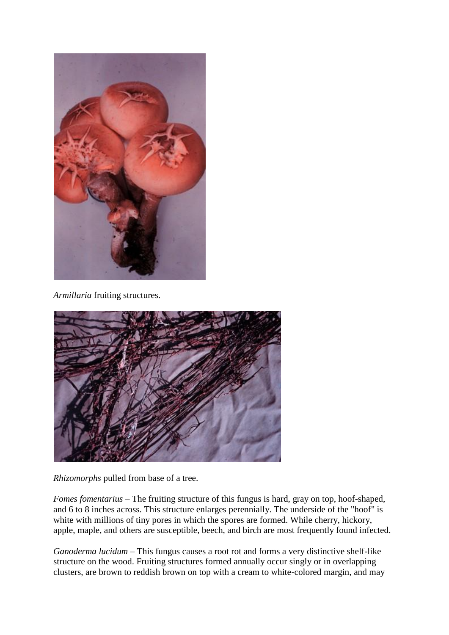

*Armillaria* fruiting structures.



*Rhizomorphs* pulled from base of a tree.

*Fomes fomentarius* – The fruiting structure of this fungus is hard, gray on top, hoof-shaped, and 6 to 8 inches across. This structure enlarges perennially. The underside of the "hoof" is white with millions of tiny pores in which the spores are formed. While cherry, hickory, apple, maple, and others are susceptible, beech, and birch are most frequently found infected.

*Ganoderma lucidum* – This fungus causes a root rot and forms a very distinctive shelf-like structure on the wood. Fruiting structures formed annually occur singly or in overlapping clusters, are brown to reddish brown on top with a cream to white-colored margin, and may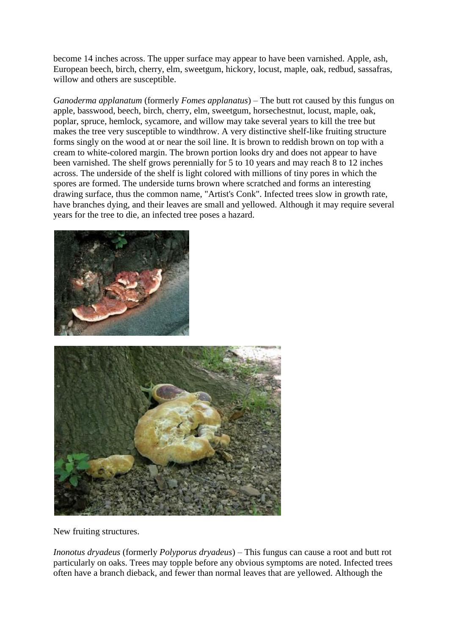become 14 inches across. The upper surface may appear to have been varnished. Apple, ash, European beech, birch, cherry, elm, sweetgum, hickory, locust, maple, oak, redbud, sassafras, willow and others are susceptible.

*Ganoderma applanatum* (formerly *Fomes applanatus*) – The butt rot caused by this fungus on apple, basswood, beech, birch, cherry, elm, sweetgum, horsechestnut, locust, maple, oak, poplar, spruce, hemlock, sycamore, and willow may take several years to kill the tree but makes the tree very susceptible to windthrow. A very distinctive shelf-like fruiting structure forms singly on the wood at or near the soil line. It is brown to reddish brown on top with a cream to white-colored margin. The brown portion looks dry and does not appear to have been varnished. The shelf grows perennially for 5 to 10 years and may reach 8 to 12 inches across. The underside of the shelf is light colored with millions of tiny pores in which the spores are formed. The underside turns brown where scratched and forms an interesting drawing surface, thus the common name, "Artist's Conk". Infected trees slow in growth rate, have branches dying, and their leaves are small and yellowed. Although it may require several years for the tree to die, an infected tree poses a hazard.





New fruiting structures.

*Inonotus dryadeus* (formerly *Polyporus dryadeus*) – This fungus can cause a root and butt rot particularly on oaks. Trees may topple before any obvious symptoms are noted. Infected trees often have a branch dieback, and fewer than normal leaves that are yellowed. Although the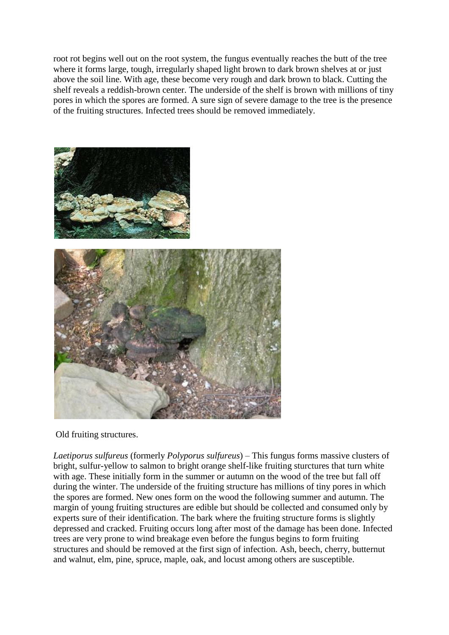root rot begins well out on the root system, the fungus eventually reaches the butt of the tree where it forms large, tough, irregularly shaped light brown to dark brown shelves at or just above the soil line. With age, these become very rough and dark brown to black. Cutting the shelf reveals a reddish-brown center. The underside of the shelf is brown with millions of tiny pores in which the spores are formed. A sure sign of severe damage to the tree is the presence of the fruiting structures. Infected trees should be removed immediately.



Old fruiting structures.

*Laetiporus sulfureus* (formerly *Polyporus sulfureus*) – This fungus forms massive clusters of bright, sulfur-yellow to salmon to bright orange shelf-like fruiting sturctures that turn white with age. These initially form in the summer or autumn on the wood of the tree but fall off during the winter. The underside of the fruiting structure has millions of tiny pores in which the spores are formed. New ones form on the wood the following summer and autumn. The margin of young fruiting structures are edible but should be collected and consumed only by experts sure of their identification. The bark where the fruiting structure forms is slightly depressed and cracked. Fruiting occurs long after most of the damage has been done. Infected trees are very prone to wind breakage even before the fungus begins to form fruiting structures and should be removed at the first sign of infection. Ash, beech, cherry, butternut and walnut, elm, pine, spruce, maple, oak, and locust among others are susceptible.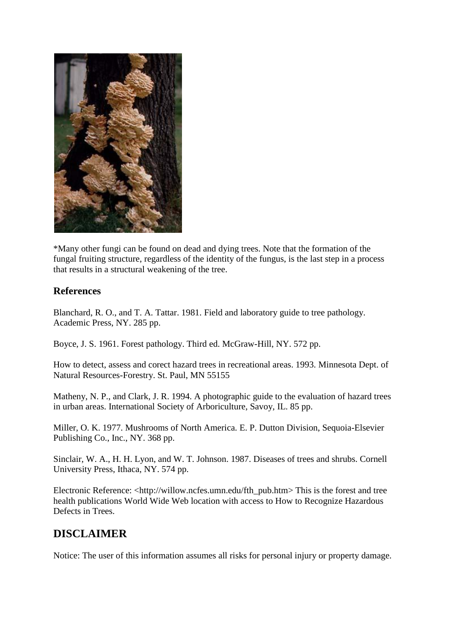

\*Many other fungi can be found on dead and dying trees. Note that the formation of the fungal fruiting structure, regardless of the identity of the fungus, is the last step in a process that results in a structural weakening of the tree.

### **References**

Blanchard, R. O., and T. A. Tattar. 1981. Field and laboratory guide to tree pathology. Academic Press, NY. 285 pp.

Boyce, J. S. 1961. Forest pathology. Third ed. McGraw-Hill, NY. 572 pp.

How to detect, assess and corect hazard trees in recreational areas. 1993. Minnesota Dept. of Natural Resources-Forestry. St. Paul, MN 55155

Matheny, N. P., and Clark, J. R. 1994. A photographic guide to the evaluation of hazard trees in urban areas. International Society of Arboriculture, Savoy, IL. 85 pp.

Miller, O. K. 1977. Mushrooms of North America. E. P. Dutton Division, Sequoia-Elsevier Publishing Co., Inc., NY. 368 pp.

Sinclair, W. A., H. H. Lyon, and W. T. Johnson. 1987. Diseases of trees and shrubs. Cornell University Press, Ithaca, NY. 574 pp.

Electronic Reference: <http://willow.ncfes.umn.edu/fth\_pub.htm> This is the forest and tree health publications World Wide Web location with access to How to Recognize Hazardous Defects in Trees.

# **DISCLAIMER**

Notice: The user of this information assumes all risks for personal injury or property damage.